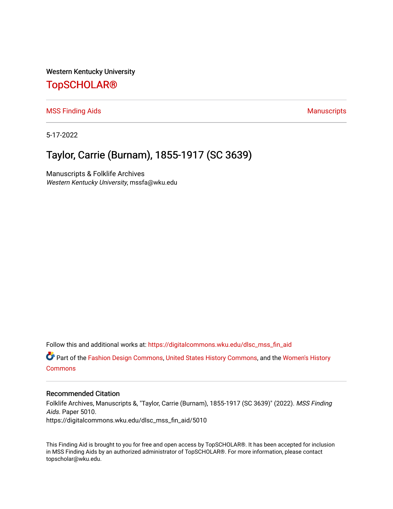Western Kentucky University

## [TopSCHOLAR®](https://digitalcommons.wku.edu/)

[MSS Finding Aids](https://digitalcommons.wku.edu/dlsc_mss_fin_aid) **Manuscripts** [Manuscripts](https://digitalcommons.wku.edu/dlsc_mss) **Manuscripts** 

5-17-2022

# Taylor, Carrie (Burnam), 1855-1917 (SC 3639)

Manuscripts & Folklife Archives Western Kentucky University, mssfa@wku.edu

Follow this and additional works at: [https://digitalcommons.wku.edu/dlsc\\_mss\\_fin\\_aid](https://digitalcommons.wku.edu/dlsc_mss_fin_aid?utm_source=digitalcommons.wku.edu%2Fdlsc_mss_fin_aid%2F5010&utm_medium=PDF&utm_campaign=PDFCoverPages) 

Part of the [Fashion Design Commons,](https://network.bepress.com/hgg/discipline/1132?utm_source=digitalcommons.wku.edu%2Fdlsc_mss_fin_aid%2F5010&utm_medium=PDF&utm_campaign=PDFCoverPages) [United States History Commons,](https://network.bepress.com/hgg/discipline/495?utm_source=digitalcommons.wku.edu%2Fdlsc_mss_fin_aid%2F5010&utm_medium=PDF&utm_campaign=PDFCoverPages) and the [Women's History](https://network.bepress.com/hgg/discipline/507?utm_source=digitalcommons.wku.edu%2Fdlsc_mss_fin_aid%2F5010&utm_medium=PDF&utm_campaign=PDFCoverPages) [Commons](https://network.bepress.com/hgg/discipline/507?utm_source=digitalcommons.wku.edu%2Fdlsc_mss_fin_aid%2F5010&utm_medium=PDF&utm_campaign=PDFCoverPages)

#### Recommended Citation

Folklife Archives, Manuscripts &, "Taylor, Carrie (Burnam), 1855-1917 (SC 3639)" (2022). MSS Finding Aids. Paper 5010. https://digitalcommons.wku.edu/dlsc\_mss\_fin\_aid/5010

This Finding Aid is brought to you for free and open access by TopSCHOLAR®. It has been accepted for inclusion in MSS Finding Aids by an authorized administrator of TopSCHOLAR®. For more information, please contact topscholar@wku.edu.